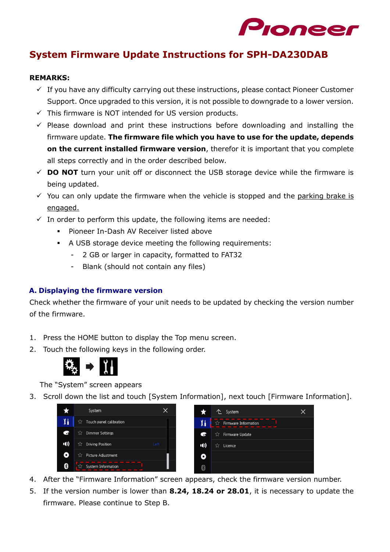

# **System Firmware Update Instructions for SPH-DA230DAB**

#### **REMARKS:**

- $\checkmark$  If you have any difficulty carrying out these instructions, please contact Pioneer Customer Support. Once upgraded to this version, it is not possible to downgrade to a lower version.
- $\checkmark$  This firmware is NOT intended for US version products.
- ✓ Please download and print these instructions before downloading and installing the firmware update. **The firmware file which you have to use for the update, depends on the current installed firmware version**, therefor it is important that you complete all steps correctly and in the order described below.
- ✓ **DO NOT** turn your unit off or disconnect the USB storage device while the firmware is being updated.
- $\check{\phantom{1}}$  You can only update the firmware when the vehicle is stopped and the parking brake is engaged.
- $\checkmark$  In order to perform this update, the following items are needed:
	- Pioneer In-Dash AV Receiver listed above
	- A USB storage device meeting the following requirements:
		- 2 GB or larger in capacity, formatted to FAT32
		- Blank (should not contain any files)

## **A. Displaying the firmware version**

Check whether the firmware of your unit needs to be updated by checking the version number of the firmware.

- 1. Press the HOME button to display the Top menu screen.
- 2. Touch the following keys in the following order.



The "System" screen appears

3. Scroll down the list and touch [System Information], next touch [Firmware Information].

|      | System                              |      |
|------|-------------------------------------|------|
| X١   | ጚ፞፞፞፝፝፝፞<br>Touch panel calibration |      |
| e    | <b>Dimmer Settings</b><br>ל∡        |      |
| 1(1) | <b>Driving Position</b><br>ל.∕ר     | Left |
| O    | ☆<br>Picture Adjustment             |      |
| \$   | System Information                  |      |



- 4. After the "Firmware Information" screen appears, check the firmware version number.
- 5. If the version number is lower than **8.24, 18.24 or 28.01**, it is necessary to update the firmware. Please continue to Step B.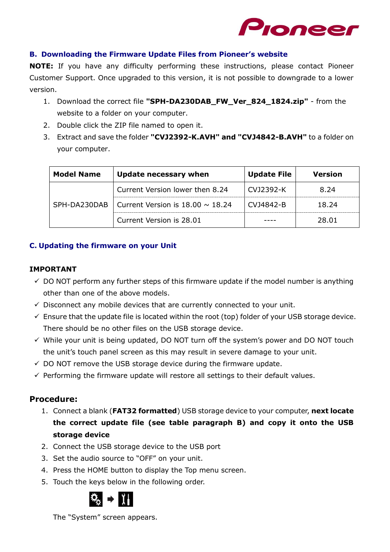

## **B. Downloading the Firmware Update Files from Pioneer's website**

**NOTE:** If you have any difficulty performing these instructions, please contact Pioneer Customer Support. Once upgraded to this version, it is not possible to downgrade to a lower version.

- 1. Download the correct file **"SPH-DA230DAB\_FW\_Ver\_824\_1824.zip"** from the website to a folder on your computer.
- 2. Double click the ZIP file named to open it.
- 3. Extract and save the folder **"CVJ2392-K.AVH" and "CVJ4842-B.AVH"** to a folder on your computer.

| <b>Model Name</b> | <b>Update necessary when</b>          | <b>Update File</b> | <b>Version</b> |
|-------------------|---------------------------------------|--------------------|----------------|
|                   | Current Version lower then 8.24       | CV12392-K          | 8.24           |
| SPH-DA230DAB      | Current Version is $18.00 \sim 18.24$ | CV14842-B          | 18.24          |
|                   | Current Version is 28.01              |                    | 28.01          |

## **C. Updating the firmware on your Unit**

## **IMPORTANT**

- $\checkmark$  DO NOT perform any further steps of this firmware update if the model number is anything other than one of the above models.
- $\checkmark$  Disconnect any mobile devices that are currently connected to your unit.
- ✓ Ensure that the update file is located within the root (top) folder of your USB storage device. There should be no other files on the USB storage device.
- $\checkmark$  While your unit is being updated, DO NOT turn off the system's power and DO NOT touch the unit's touch panel screen as this may result in severe damage to your unit.
- $\checkmark$  DO NOT remove the USB storage device during the firmware update.
- $\checkmark$  Performing the firmware update will restore all settings to their default values.

## **Procedure:**

- 1. Connect a blank (**FAT32 formatted**) USB storage device to your computer, **next locate the correct update file (see table paragraph B) and copy it onto the USB storage device**
- 2. Connect the USB storage device to the USB port
- 3. Set the audio source to "OFF" on your unit.
- 4. Press the HOME button to display the Top menu screen.
- 5. Touch the keys below in the following order.



The "System" screen appears.